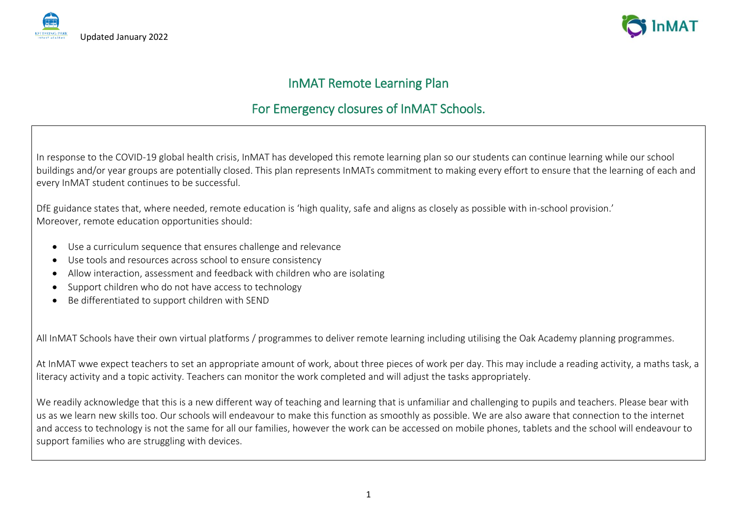



# InMAT Remote Learning Plan

# For Emergency closures of InMAT Schools.

In response to the COVID-19 global health crisis, InMAT has developed this remote learning plan so our students can continue learning while our school buildings and/or year groups are potentially closed. This plan represents InMATs commitment to making every effort to ensure that the learning of each and every InMAT student continues to be successful.

DfE guidance states that, where needed, remote education is 'high quality, safe and aligns as closely as possible with in-school provision.' Moreover, remote education opportunities should:

- Use a curriculum sequence that ensures challenge and relevance
- Use tools and resources across school to ensure consistency
- Allow interaction, assessment and feedback with children who are isolating
- Support children who do not have access to technology
- Be differentiated to support children with SEND

All InMAT Schools have their own virtual platforms / programmes to deliver remote learning including utilising the Oak Academy planning programmes.

At InMAT wwe expect teachers to set an appropriate amount of work, about three pieces of work per day. This may include a reading activity, a maths task, a literacy activity and a topic activity. Teachers can monitor the work completed and will adjust the tasks appropriately.

We readily acknowledge that this is a new different way of teaching and learning that is unfamiliar and challenging to pupils and teachers. Please bear with us as we learn new skills too. Our schools will endeavour to make this function as smoothly as possible. We are also aware that connection to the internet and access to technology is not the same for all our families, however the work can be accessed on mobile phones, tablets and the school will endeavour to support families who are struggling with devices.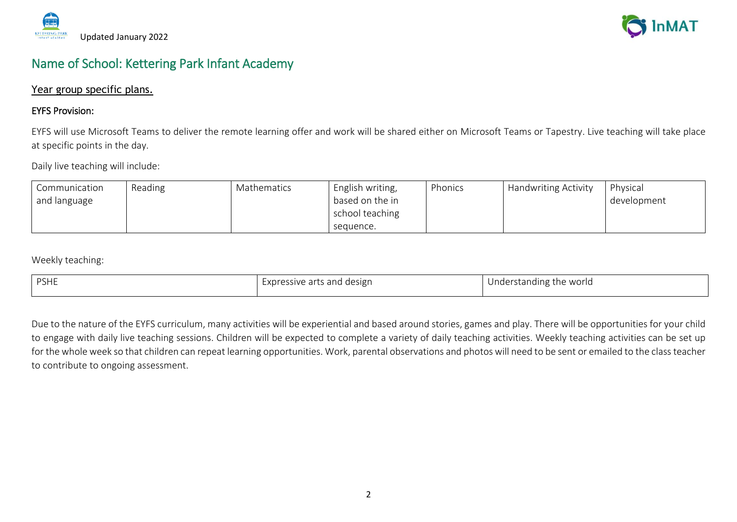



# Name of School: Kettering Park Infant Academy

# Year group specific plans.

# EYFS Provision:

EYFS will use Microsoft Teams to deliver the remote learning offer and work will be shared either on Microsoft Teams or Tapestry. Live teaching will take place at specific points in the day.

Daily live teaching will include:

| Communication | Reading | Mathematics | English writing, | Phonics | <b>Handwriting Activity</b> | Physical    |
|---------------|---------|-------------|------------------|---------|-----------------------------|-------------|
| and language  |         |             | based on the in  |         |                             | development |
|               |         |             | school teaching  |         |                             |             |
|               |         |             | sequence.        |         |                             |             |

Weekly teaching:

| <b>PSHE</b> | ressive arts and <b>s</b><br>, design<br>xure.<br>$\cdot$ | Understanding the world<br>ີ |
|-------------|-----------------------------------------------------------|------------------------------|
|             |                                                           |                              |

Due to the nature of the EYFS curriculum, many activities will be experiential and based around stories, games and play. There will be opportunities for your child to engage with daily live teaching sessions. Children will be expected to complete a variety of daily teaching activities. Weekly teaching activities can be set up for the whole week so that children can repeat learning opportunities. Work, parental observations and photos will need to be sent or emailed to the class teacher to contribute to ongoing assessment.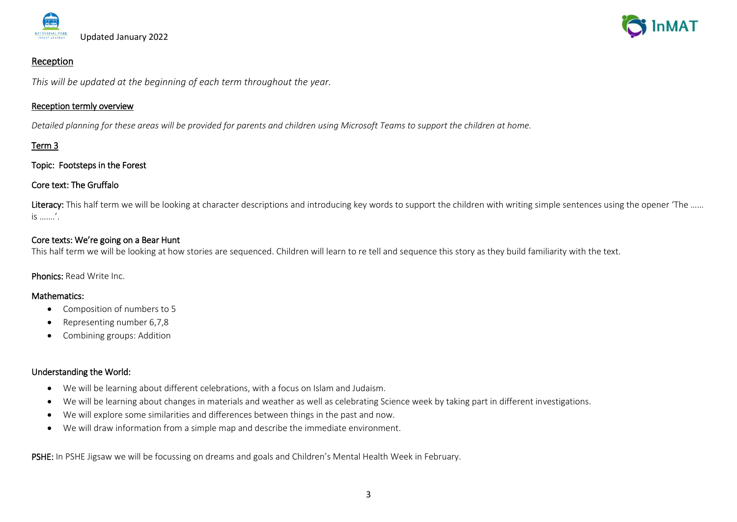



### Reception

*This will be updated at the beginning of each term throughout the year.*

#### Reception termly overview

*Detailed planning for these areas will be provided for parents and children using Microsoft Teams to support the children at home.*

# Term 3

### Topic: Footsteps in the Forest

# Core text: The Gruffalo

Literacy: This half term we will be looking at character descriptions and introducing key words to support the children with writing simple sentences using the opener 'The ...... is …….'.

# Core texts: We're going on a Bear Hunt

This half term we will be looking at how stories are sequenced. Children will learn to re tell and sequence this story as they build familiarity with the text.

Phonics: Read Write Inc.

#### Mathematics:

- Composition of numbers to 5
- Representing number 6,7,8
- Combining groups: Addition

# Understanding the World:

- We will be learning about different celebrations, with a focus on Islam and Judaism.
- We will be learning about changes in materials and weather as well as celebrating Science week by taking part in different investigations.
- We will explore some similarities and differences between things in the past and now.
- We will draw information from a simple map and describe the immediate environment.

PSHE: In PSHE Jigsaw we will be focussing on dreams and goals and Children's Mental Health Week in February.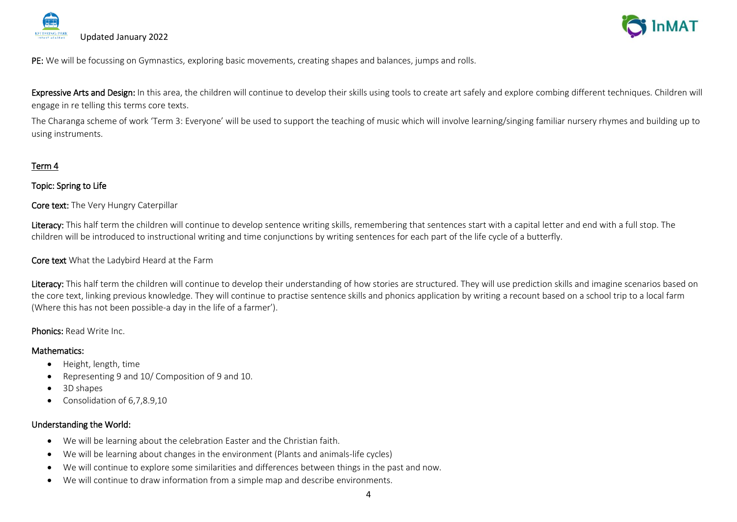



PE: We will be focussing on Gymnastics, exploring basic movements, creating shapes and balances, jumps and rolls.

Expressive Arts and Design: In this area, the children will continue to develop their skills using tools to create art safely and explore combing different techniques. Children will engage in re telling this terms core texts.

The Charanga scheme of work 'Term 3: Everyone' will be used to support the teaching of music which will involve learning/singing familiar nursery rhymes and building up to using instruments.

### Term 4

#### Topic: Spring to Life

Core text: The Very Hungry Caterpillar

Literacy: This half term the children will continue to develop sentence writing skills, remembering that sentences start with a capital letter and end with a full stop. The children will be introduced to instructional writing and time conjunctions by writing sentences for each part of the life cycle of a butterfly.

Core text What the Ladybird Heard at the Farm

Literacy: This half term the children will continue to develop their understanding of how stories are structured. They will use prediction skills and imagine scenarios based on the core text, linking previous knowledge. They will continue to practise sentence skills and phonics application by writing a recount based on a school trip to a local farm (Where this has not been possible-a day in the life of a farmer').

#### Phonics: Read Write Inc.

#### Mathematics:

- Height, length, time
- Representing 9 and 10/ Composition of 9 and 10.
- 3D shapes
- Consolidation of 6,7,8.9,10

# Understanding the World:

- We will be learning about the celebration Easter and the Christian faith.
- We will be learning about changes in the environment (Plants and animals-life cycles)
- We will continue to explore some similarities and differences between things in the past and now.
- We will continue to draw information from a simple map and describe environments.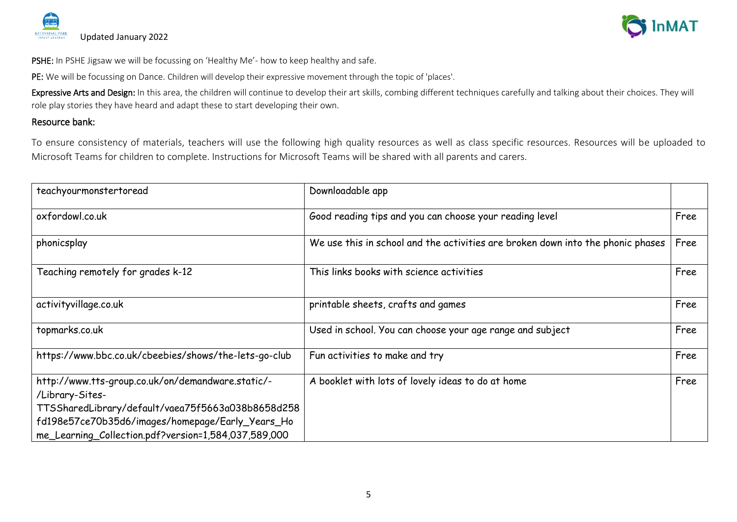



PSHE: In PSHE Jigsaw we will be focussing on 'Healthy Me'- how to keep healthy and safe.

PE: We will be focussing on Dance. Children will develop their expressive movement through the topic of 'places'.

Expressive Arts and Design: In this area, the children will continue to develop their art skills, combing different techniques carefully and talking about their choices. They will role play stories they have heard and adapt these to start developing their own.

# Resource bank:

To ensure consistency of materials, teachers will use the following high quality resources as well as class specific resources. Resources will be uploaded to Microsoft Teams for children to complete. Instructions for Microsoft Teams will be shared with all parents and carers.

| teachyourmonstertoread                                                                                                                                                                                                                | Downloadable app                                                                |      |
|---------------------------------------------------------------------------------------------------------------------------------------------------------------------------------------------------------------------------------------|---------------------------------------------------------------------------------|------|
| oxfordowl.co.uk                                                                                                                                                                                                                       | Good reading tips and you can choose your reading level                         | Free |
| phonicsplay                                                                                                                                                                                                                           | We use this in school and the activities are broken down into the phonic phases | Free |
| Teaching remotely for grades k-12                                                                                                                                                                                                     | This links books with science activities                                        | Free |
| activityvillage.co.uk                                                                                                                                                                                                                 | printable sheets, crafts and games                                              | Free |
| topmarks.co.uk                                                                                                                                                                                                                        | Used in school. You can choose your age range and subject                       | Free |
| https://www.bbc.co.uk/cbeebies/shows/the-lets-go-club                                                                                                                                                                                 | Fun activities to make and try                                                  | Free |
| http://www.tts-group.co.uk/on/demandware.static/-<br>/Library-Sites-<br>TTSSharedLibrary/default/vaea75f5663a038b8658d258<br>fd198e57ce70b35d6/images/homepage/Early_Years_Ho<br>me_Learning_Collection.pdf?version=1,584,037,589,000 | A booklet with lots of lovely ideas to do at home                               | Free |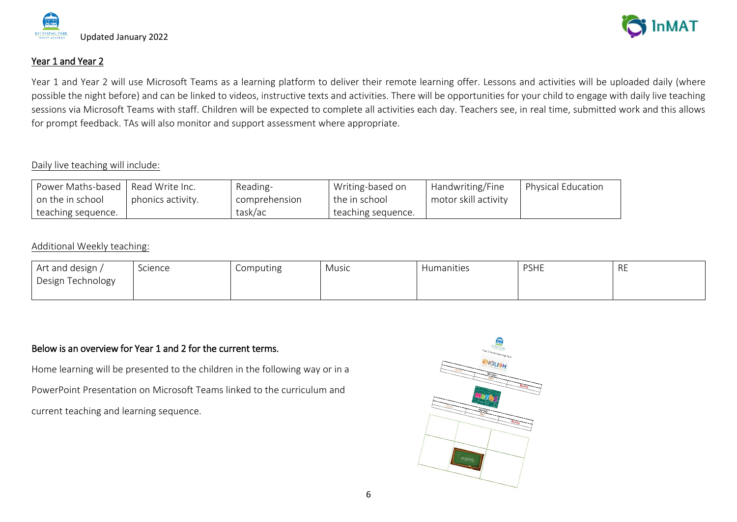

# Year 1 and Year 2

Year 1 and Year 2 will use Microsoft Teams as a learning platform to deliver their remote learning offer. Lessons and activities will be uploaded daily (where possible the night before) and can be linked to videos, instructive texts and activities. There will be opportunities for your child to engage with daily live teaching sessions via Microsoft Teams with staff. Children will be expected to complete all activities each day. Teachers see, in real time, submitted work and this allows for prompt feedback. TAs will also monitor and support assessment where appropriate.

## Daily live teaching will include:

| Power Maths-based   Read Write Inc. |                   | Reading-      | Writing-based on   | Handwriting/Fine     | <b>Physical Education</b> |
|-------------------------------------|-------------------|---------------|--------------------|----------------------|---------------------------|
| on the in school                    | phonics activity. | comprehension | I the in school    | motor skill activity |                           |
| teaching sequence.                  |                   | task/ac       | teaching sequence. |                      |                           |

### Additional Weekly teaching:

| Art and design /  | Science | Computing | Music | Humanities | <b>PSHE</b> | <b>RE</b> |
|-------------------|---------|-----------|-------|------------|-------------|-----------|
| Design Technology |         |           |       |            |             |           |
|                   |         |           |       |            |             |           |

# Below is an overview for Year 1 and 2 for the current terms.

Home learning will be presented to the children in the following way or in a PowerPoint Presentation on Microsoft Teams linked to the curriculum and current teaching and learning sequence.



**nMAT**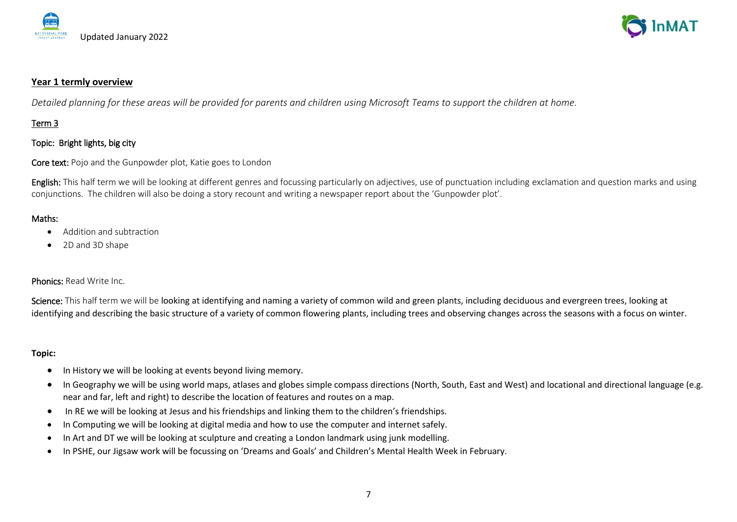



#### **Year 1 termly overview**

*Detailed planning for these areas will be provided for parents and children using Microsoft Teams to support the children at home.*

# Term 3

### Topic: Bright lights, big city

Core text: Pojo and the Gunpowder plot, Katie goes to London

English: This half term we will be looking at different genres and focussing particularly on adjectives, use of punctuation including exclamation and question marks and using conjunctions. The children will also be doing a story recount and writing a newspaper report about the 'Gunpowder plot'.

#### Maths:

- Addition and subtraction
- 2D and 3D shape

#### Phonics: Read Write Inc.

Science: This half term we will be looking at identifying and naming a variety of common wild and green plants, including deciduous and evergreen trees, looking at identifying and describing the basic structure of a variety of common flowering plants, including trees and observing changes across the seasons with a focus on winter.

- In History we will be looking at events beyond living memory.
- In Geography we will be using world maps, atlases and globes simple compass directions (North, South, East and West) and locational and directional language (e.g. near and far, left and right) to describe the location of features and routes on a map.
- In RE we will be looking at Jesus and his friendships and linking them to the children's friendships.
- In Computing we will be looking at digital media and how to use the computer and internet safely.
- In Art and DT we will be looking at sculpture and creating a London landmark using junk modelling.
- In PSHE, our Jigsaw work will be focussing on 'Dreams and Goals' and Children's Mental Health Week in February.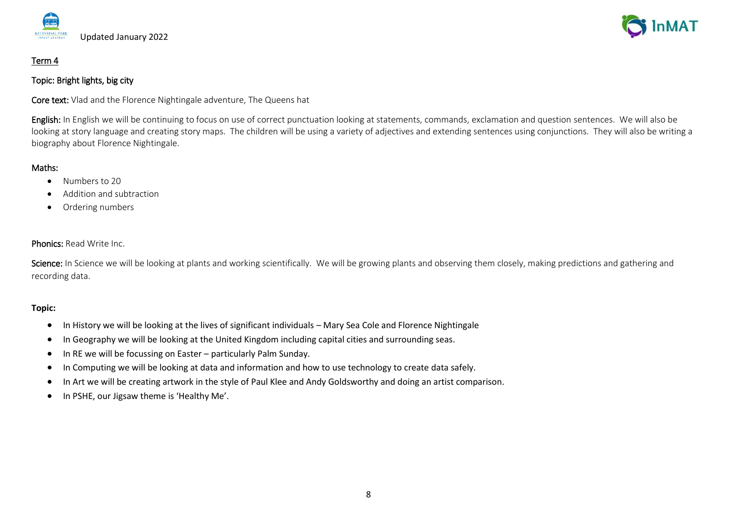

# Term 4

## Topic: Bright lights, big city

Core text: Vlad and the Florence Nightingale adventure, The Queens hat

English: In English we will be continuing to focus on use of correct punctuation looking at statements, commands, exclamation and question sentences. We will also be looking at story language and creating story maps. The children will be using a variety of adjectives and extending sentences using conjunctions. They will also be writing a biography about Florence Nightingale.

# Maths:

- Numbers to 20
- Addition and subtraction
- Ordering numbers

# Phonics: Read Write Inc.

Science: In Science we will be looking at plants and working scientifically. We will be growing plants and observing them closely, making predictions and gathering and recording data.

- In History we will be looking at the lives of significant individuals Mary Sea Cole and Florence Nightingale
- In Geography we will be looking at the United Kingdom including capital cities and surrounding seas.
- In RE we will be focussing on Easter particularly Palm Sunday.
- In Computing we will be looking at data and information and how to use technology to create data safely.
- In Art we will be creating artwork in the style of Paul Klee and Andy Goldsworthy and doing an artist comparison.
- In PSHE, our Jigsaw theme is 'Healthy Me'.

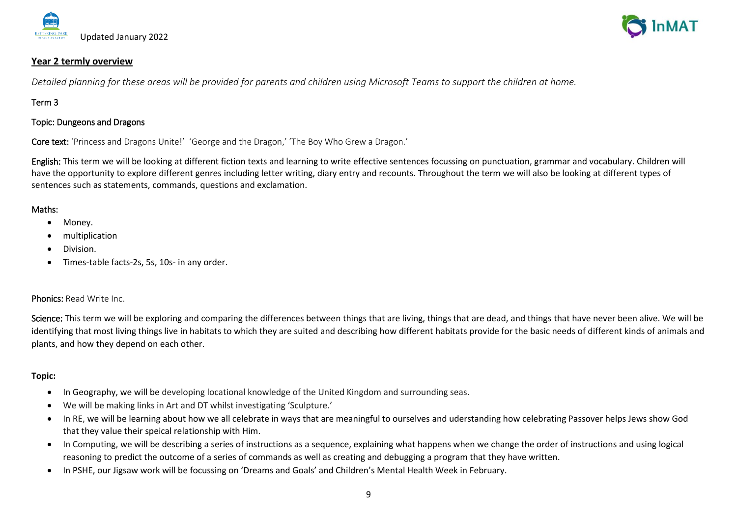



#### **Year 2 termly overview**

*Detailed planning for these areas will be provided for parents and children using Microsoft Teams to support the children at home.*

# Term 3

#### Topic: Dungeons and Dragons

Core text: 'Princess and Dragons Unite!' 'George and the Dragon,' 'The Boy Who Grew a Dragon.'

English: This term we will be looking at different fiction texts and learning to write effective sentences focussing on punctuation, grammar and vocabulary. Children will have the opportunity to explore different genres including letter writing, diary entry and recounts. Throughout the term we will also be looking at different types of sentences such as statements, commands, questions and exclamation.

#### Maths:

- Money.
- multiplication
- Division.
- Times-table facts-2s, 5s, 10s- in any order.

#### Phonics: Read Write Inc.

Science: This term we will be exploring and comparing the differences between things that are living, things that are dead, and things that have never been alive. We will be identifying that most living things live in habitats to which they are suited and describing how different habitats provide for the basic needs of different kinds of animals and plants, and how they depend on each other.

- In Geography, we will be developing locational knowledge of the United Kingdom and surrounding seas.
- We will be making links in Art and DT whilst investigating 'Sculpture.'
- In RE, we will be learning about how we all celebrate in ways that are meaningful to ourselves and uderstanding how celebrating Passover helps Jews show God that they value their speical relationship with Him.
- In Computing, we will be describing a series of instructions as a sequence, explaining what happens when we change the order of instructions and using logical reasoning to predict the outcome of a series of commands as well as creating and debugging a program that they have written.
- In PSHE, our Jigsaw work will be focussing on 'Dreams and Goals' and Children's Mental Health Week in February.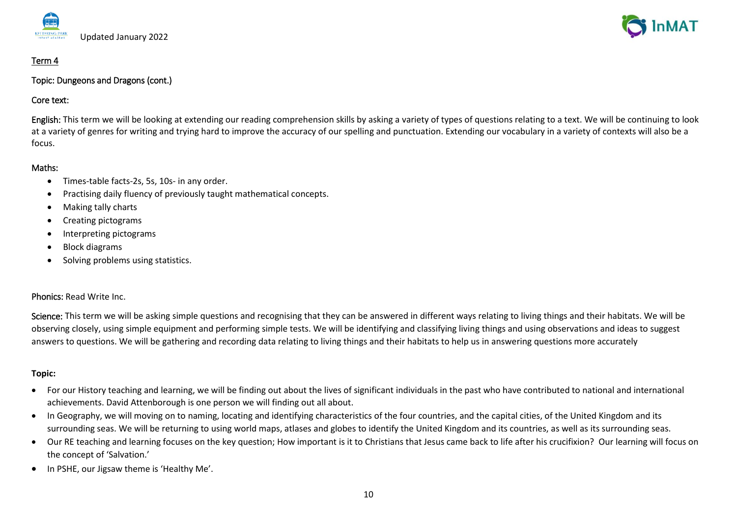

# Term 4

Topic: Dungeons and Dragons (cont.)

### Core text:

English: This term we will be looking at extending our reading comprehension skills by asking a variety of types of questions relating to a text. We will be continuing to look at a variety of genres for writing and trying hard to improve the accuracy of our spelling and punctuation. Extending our vocabulary in a variety of contexts will also be a focus.

### Maths:

- Times-table facts-2s, 5s, 10s- in any order.
- Practising daily fluency of previously taught mathematical concepts.
- Making tally charts
- Creating pictograms
- Interpreting pictograms
- Block diagrams
- Solving problems using statistics.

# Phonics: Read Write Inc.

Science: This term we will be asking simple questions and recognising that they can be answered in different ways relating to living things and their habitats. We will be observing closely, using simple equipment and performing simple tests. We will be identifying and classifying living things and using observations and ideas to suggest answers to questions. We will be gathering and recording data relating to living things and their habitats to help us in answering questions more accurately

- For our History teaching and learning, we will be finding out about the lives of significant individuals in the past who have contributed to national and international achievements. David Attenborough is one person we will finding out all about.
- In Geography, we will moving on to naming, locating and identifying characteristics of the four countries, and the capital cities, of the United Kingdom and its surrounding seas. We will be returning to using world maps, atlases and globes to identify the United Kingdom and its countries, as well as its surrounding seas.
- Our RE teaching and learning focuses on the key question; How important is it to Christians that Jesus came back to life after his crucifixion? Our learning will focus on the concept of 'Salvation.'
- In PSHE, our Jigsaw theme is 'Healthy Me'.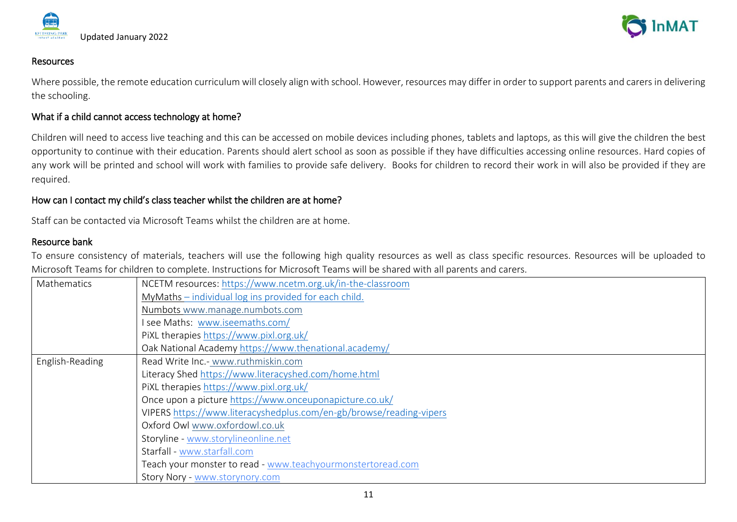



#### Resources

Where possible, the remote education curriculum will closely align with school. However, resources may differ in order to support parents and carers in delivering the schooling.

### What if a child cannot access technology at home?

Children will need to access live teaching and this can be accessed on mobile devices including phones, tablets and laptops, as this will give the children the best opportunity to continue with their education. Parents should alert school as soon as possible if they have difficulties accessing online resources. Hard copies of any work will be printed and school will work with families to provide safe delivery. Books for children to record their work in will also be provided if they are required.

### How can I contact my child's class teacher whilst the children are at home?

Staff can be contacted via Microsoft Teams whilst the children are at home.

## Resource bank

To ensure consistency of materials, teachers will use the following high quality resources as well as class specific resources. Resources will be uploaded to Microsoft Teams for children to complete. Instructions for Microsoft Teams will be shared with all parents and carers.

| Mathematics     | NCETM resources: https://www.ncetm.org.uk/in-the-classroom          |  |  |  |
|-----------------|---------------------------------------------------------------------|--|--|--|
|                 | MyMaths - individual log ins provided for each child.               |  |  |  |
|                 | Numbots www.manage.numbots.com                                      |  |  |  |
|                 | I see Maths: www.iseemaths.com/                                     |  |  |  |
|                 | PIXL therapies https://www.pixl.org.uk/                             |  |  |  |
|                 | Oak National Academy https://www.thenational.academy/               |  |  |  |
| English-Reading | Read Write Inc.- www.ruthmiskin.com                                 |  |  |  |
|                 | Literacy Shed https://www.literacyshed.com/home.html                |  |  |  |
|                 | PIXL therapies https://www.pixl.org.uk/                             |  |  |  |
|                 | Once upon a picture https://www.onceuponapicture.co.uk/             |  |  |  |
|                 | VIPERS https://www.literacyshedplus.com/en-gb/browse/reading-vipers |  |  |  |
|                 | Oxford Owl www.oxfordowl.co.uk                                      |  |  |  |
|                 | Storyline - www.storylineonline.net                                 |  |  |  |
|                 | Starfall - www.starfall.com                                         |  |  |  |
|                 | Teach your monster to read - www.teachyourmonstertoread.com         |  |  |  |
|                 | Story Nory - www.storynory.com                                      |  |  |  |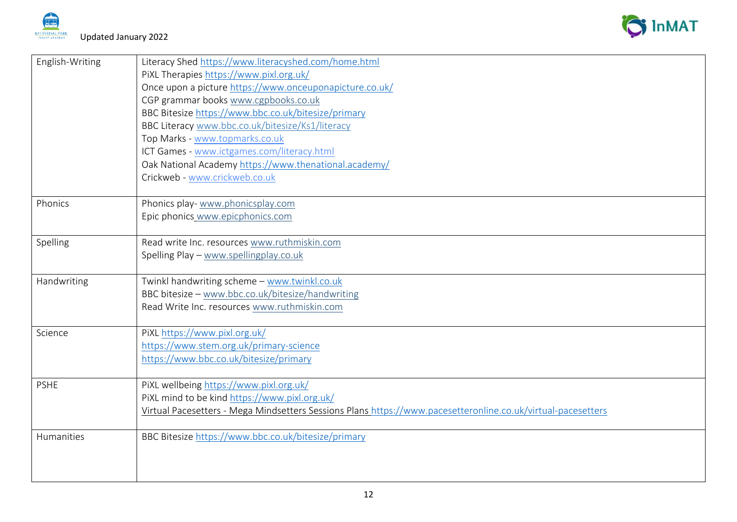



| English-Writing | Literacy Shed https://www.literacyshed.com/home.html<br>PIXL Therapies https://www.pixl.org.uk/<br>Once upon a picture https://www.onceuponapicture.co.uk/<br>CGP grammar books www.cgpbooks.co.uk<br>BBC Bitesize https://www.bbc.co.uk/bitesize/primary<br>BBC Literacy www.bbc.co.uk/bitesize/Ks1/literacy<br>Top Marks - www.topmarks.co.uk<br>ICT Games - www.ictgames.com/literacy.html<br>Oak National Academy https://www.thenational.academy/ |
|-----------------|--------------------------------------------------------------------------------------------------------------------------------------------------------------------------------------------------------------------------------------------------------------------------------------------------------------------------------------------------------------------------------------------------------------------------------------------------------|
|                 | Crickweb - www.crickweb.co.uk                                                                                                                                                                                                                                                                                                                                                                                                                          |
| Phonics         | Phonics play- www.phonicsplay.com<br>Epic phonics www.epicphonics.com                                                                                                                                                                                                                                                                                                                                                                                  |
| Spelling        | Read write Inc. resources www.ruthmiskin.com<br>Spelling Play - www.spellingplay.co.uk                                                                                                                                                                                                                                                                                                                                                                 |
| Handwriting     | Twinkl handwriting scheme - www.twinkl.co.uk<br>BBC bitesize - www.bbc.co.uk/bitesize/handwriting<br>Read Write Inc. resources www.ruthmiskin.com                                                                                                                                                                                                                                                                                                      |
| Science         | PIXL https://www.pixl.org.uk/<br>https://www.stem.org.uk/primary-science<br>https://www.bbc.co.uk/bitesize/primary                                                                                                                                                                                                                                                                                                                                     |
| <b>PSHE</b>     | PiXL wellbeing https://www.pixl.org.uk/<br>PiXL mind to be kind https://www.pixl.org.uk/<br>Virtual Pacesetters - Mega Mindsetters Sessions Plans https://www.pacesetteronline.co.uk/virtual-pacesetters                                                                                                                                                                                                                                               |
| Humanities      | BBC Bitesize https://www.bbc.co.uk/bitesize/primary                                                                                                                                                                                                                                                                                                                                                                                                    |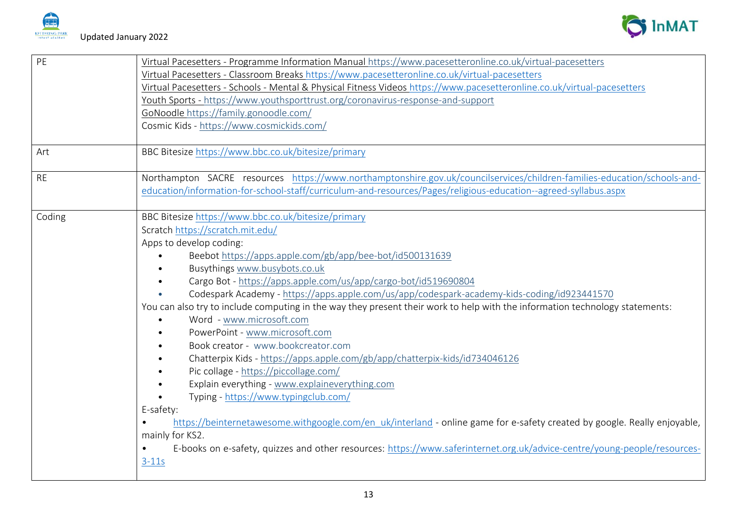



| PE        | Virtual Pacesetters - Programme Information Manual https://www.pacesetteronline.co.uk/virtual-pacesetters<br>Virtual Pacesetters - Classroom Breaks https://www.pacesetteronline.co.uk/virtual-pacesetters<br>Virtual Pacesetters - Schools - Mental & Physical Fitness Videos https://www.pacesetteronline.co.uk/virtual-pacesetters<br>Youth Sports - https://www.youthsporttrust.org/coronavirus-response-and-support<br>GoNoodle https://family.gonoodle.com/<br>Cosmic Kids - https://www.cosmickids.com/                                                                                                                                                                                                                                                                                                                                                                                                                                                                                                                                                                                                                                          |
|-----------|---------------------------------------------------------------------------------------------------------------------------------------------------------------------------------------------------------------------------------------------------------------------------------------------------------------------------------------------------------------------------------------------------------------------------------------------------------------------------------------------------------------------------------------------------------------------------------------------------------------------------------------------------------------------------------------------------------------------------------------------------------------------------------------------------------------------------------------------------------------------------------------------------------------------------------------------------------------------------------------------------------------------------------------------------------------------------------------------------------------------------------------------------------|
| Art       | BBC Bitesize https://www.bbc.co.uk/bitesize/primary                                                                                                                                                                                                                                                                                                                                                                                                                                                                                                                                                                                                                                                                                                                                                                                                                                                                                                                                                                                                                                                                                                     |
| <b>RE</b> | Northampton SACRE resources https://www.northamptonshire.gov.uk/councilservices/children-families-education/schools-and-<br>education/information-for-school-staff/curriculum-and-resources/Pages/religious-education--agreed-syllabus.aspx                                                                                                                                                                                                                                                                                                                                                                                                                                                                                                                                                                                                                                                                                                                                                                                                                                                                                                             |
| Coding    | BBC Bitesize https://www.bbc.co.uk/bitesize/primary<br>Scratch https://scratch.mit.edu/<br>Apps to develop coding:<br>Beebot https://apps.apple.com/gb/app/bee-bot/id500131639<br>Busythings www.busybots.co.uk<br>Cargo Bot - https://apps.apple.com/us/app/cargo-bot/id519690804<br>Codespark Academy - https://apps.apple.com/us/app/codespark-academy-kids-coding/id923441570<br>You can also try to include computing in the way they present their work to help with the information technology statements:<br>Word - www.microsoft.com<br>PowerPoint - www.microsoft.com<br>Book creator - www.bookcreator.com<br>Chatterpix Kids - https://apps.apple.com/gb/app/chatterpix-kids/id734046126<br>Pic collage - https://piccollage.com/<br>Explain everything - www.explaineverything.com<br>Typing - https://www.typingclub.com/<br>E-safety:<br>https://beinternetawesome.withgoogle.com/en uk/interland - online game for e-safety created by google. Really enjoyable,<br>mainly for KS2.<br>E-books on e-safety, quizzes and other resources: https://www.saferinternet.org.uk/advice-centre/young-people/resources-<br>$\bullet$<br>$3-11s$ |